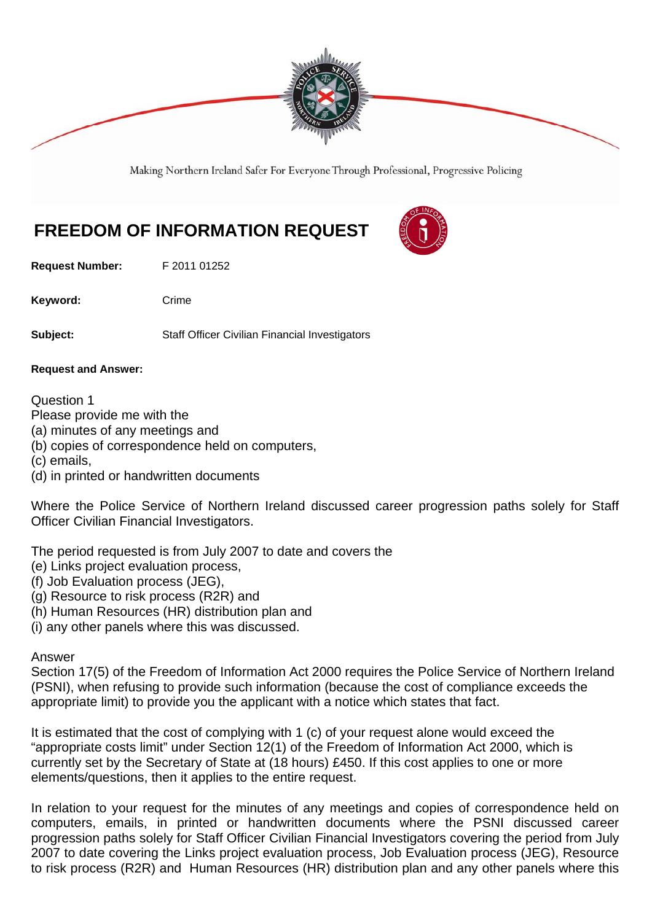

Making Northern Ireland Safer For Everyone Through Professional, Progressive Policing

## **FREEDOM OF INFORMATION REQUEST**

**Request Number:** F 2011 01252

Keyword: Crime

**Subject:** Staff Officer Civilian Financial Investigators

**Request and Answer:** 

Question 1

Please provide me with the

- (a) minutes of any meetings and
- (b) copies of correspondence held on computers,
- (c) emails,
- (d) in printed or handwritten documents

Where the Police Service of Northern Ireland discussed career progression paths solely for Staff Officer Civilian Financial Investigators.

The period requested is from July 2007 to date and covers the

- (e) Links project evaluation process,
- (f) Job Evaluation process (JEG),
- (g) Resource to risk process (R2R) and
- (h) Human Resources (HR) distribution plan and
- (i) any other panels where this was discussed.

## Answer

Section 17(5) of the Freedom of Information Act 2000 requires the Police Service of Northern Ireland (PSNI), when refusing to provide such information (because the cost of compliance exceeds the appropriate limit) to provide you the applicant with a notice which states that fact.

It is estimated that the cost of complying with 1 (c) of your request alone would exceed the "appropriate costs limit" under Section 12(1) of the Freedom of Information Act 2000, which is currently set by the Secretary of State at (18 hours) £450. If this cost applies to one or more elements/questions, then it applies to the entire request.

In relation to your request for the minutes of any meetings and copies of correspondence held on computers, emails, in printed or handwritten documents where the PSNI discussed career progression paths solely for Staff Officer Civilian Financial Investigators covering the period from July 2007 to date covering the Links project evaluation process, Job Evaluation process (JEG), Resource to risk process (R2R) and Human Resources (HR) distribution plan and any other panels where this